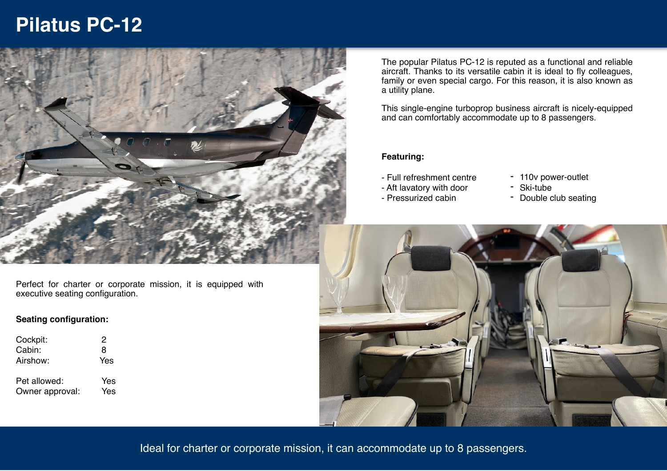# **Pilatus PC-12**



Perfect for charter or corporate mission, it is equipped with executive seating configuration.

### **Seating configuration:**

| Cockpit:                        | 2          |
|---------------------------------|------------|
| Cabin:                          | 8          |
| Airshow:                        | Yes        |
| Pet allowed:<br>Owner approval: | Yes<br>Yes |
|                                 |            |

The popular Pilatus PC-12 is reputed as a functional and reliable aircraft. Thanks to its versatile cabin it is ideal to fly colleagues, family or even special cargo. For this reason, it is also known as a utility plane.

This single-engine turboprop business aircraft is nicely-equipped and can comfortably accommodate up to 8 passengers.

### **Featuring:**

- Full refreshment centre
- Aft lavatory with door
- Pressurized cabin
- 110v power-outlet
- Ski-tube
- Double club seating



Ideal for charter or corporate mission, it can accommodate up to 8 passengers.